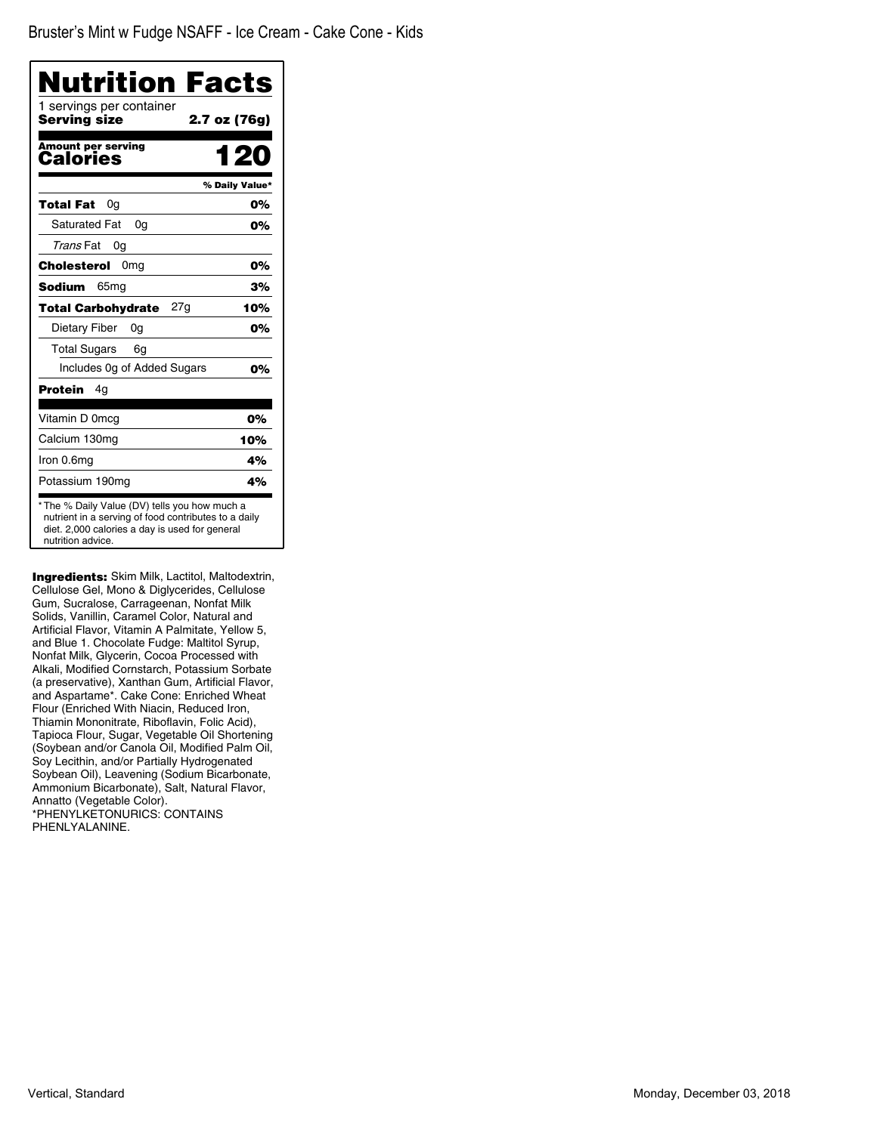| Nutrition Facts<br>1 servings per container |                |
|---------------------------------------------|----------------|
| <b>Serving size</b>                         | 2.7 oz (76g)   |
| <b>Amount per serving</b><br>Calories       | 1 20           |
|                                             | % Daily Value* |
| Total Fat<br>0g                             | 0%             |
| <b>Saturated Fat</b><br>0a                  | 0%             |
| Trans Fat<br>0g                             |                |
| Cholesterol<br>0 <sub>mg</sub>              | 0%             |
| <b>Sodium</b><br>65 <sub>mg</sub>           | 3%             |
| 27g<br><b>Total Carbohydrate</b>            | 10%            |
| Dietary Fiber<br>0a                         | 0%             |
| <b>Total Sugars</b><br>6g                   |                |
| Includes 0g of Added Sugars                 | 0%             |
| Protein<br>4g                               |                |
| Vitamin D 0mcg                              | 0%             |
| Calcium 130mg                               | 10%            |
| Iron 0.6mg                                  | 4%             |
| Potassium 190mg                             | 4%             |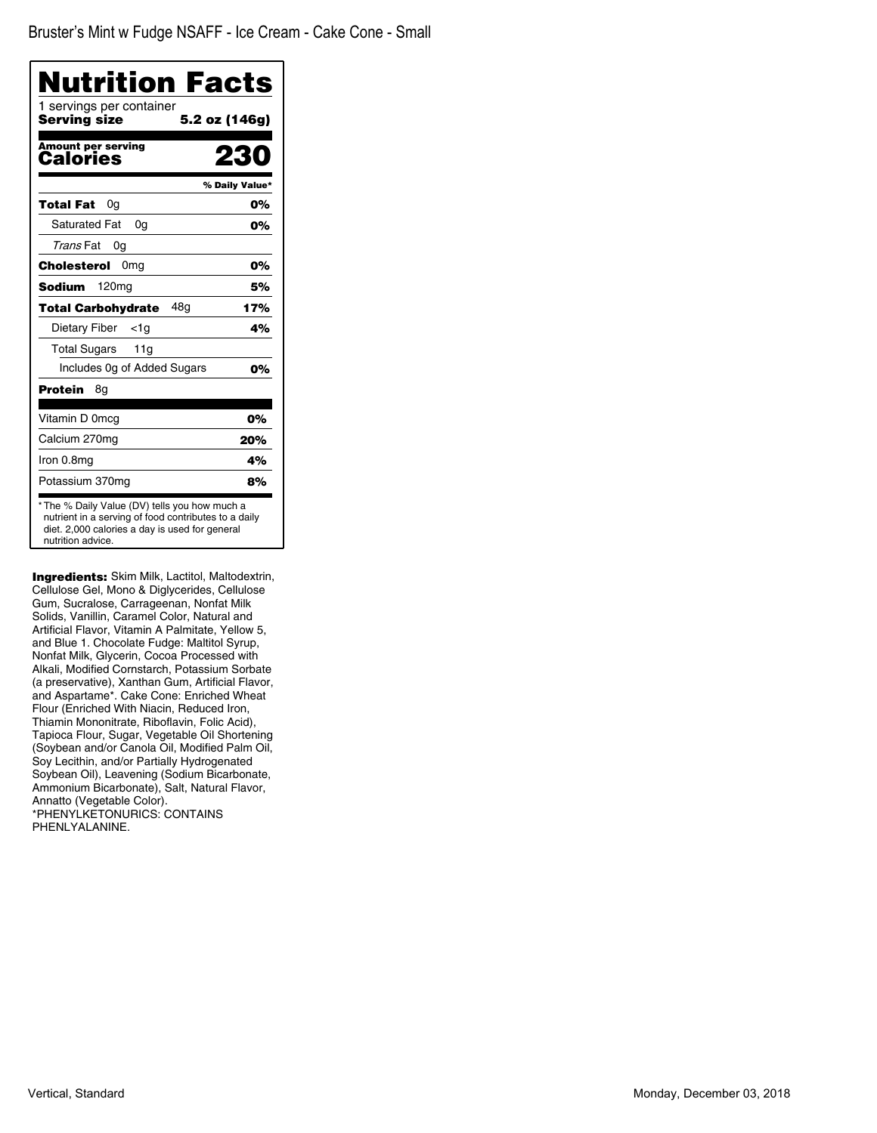| Nutrition Facts<br>1 servings per container |                |
|---------------------------------------------|----------------|
| Serving size                                | 5.2 oz (146g)  |
| <b>Amount per serving</b><br>Calories       | 23             |
|                                             | % Daily Value* |
| Total Fat<br>0a                             | 0%             |
| <b>Saturated Fat</b><br>0a                  | 0%             |
| Trans Fat<br>0g                             |                |
| <b>Cholesterol</b><br>0 <sub>mg</sub>       | 0%             |
| Sodium<br>120mg                             | 5%             |
| <b>Total Carbohydrate</b><br>48a            | 17%            |
| Dietary Fiber<br><1a                        | 4%             |
| <b>Total Sugars</b><br>11g                  |                |
| Includes Og of Added Sugars                 | 0%             |
| Protein<br>8g                               |                |
| Vitamin D 0mcg                              | 0%             |
| Calcium 270mg                               | 20%            |
| Iron 0.8mg                                  | 4%             |
| Potassium 370mg                             | 8%             |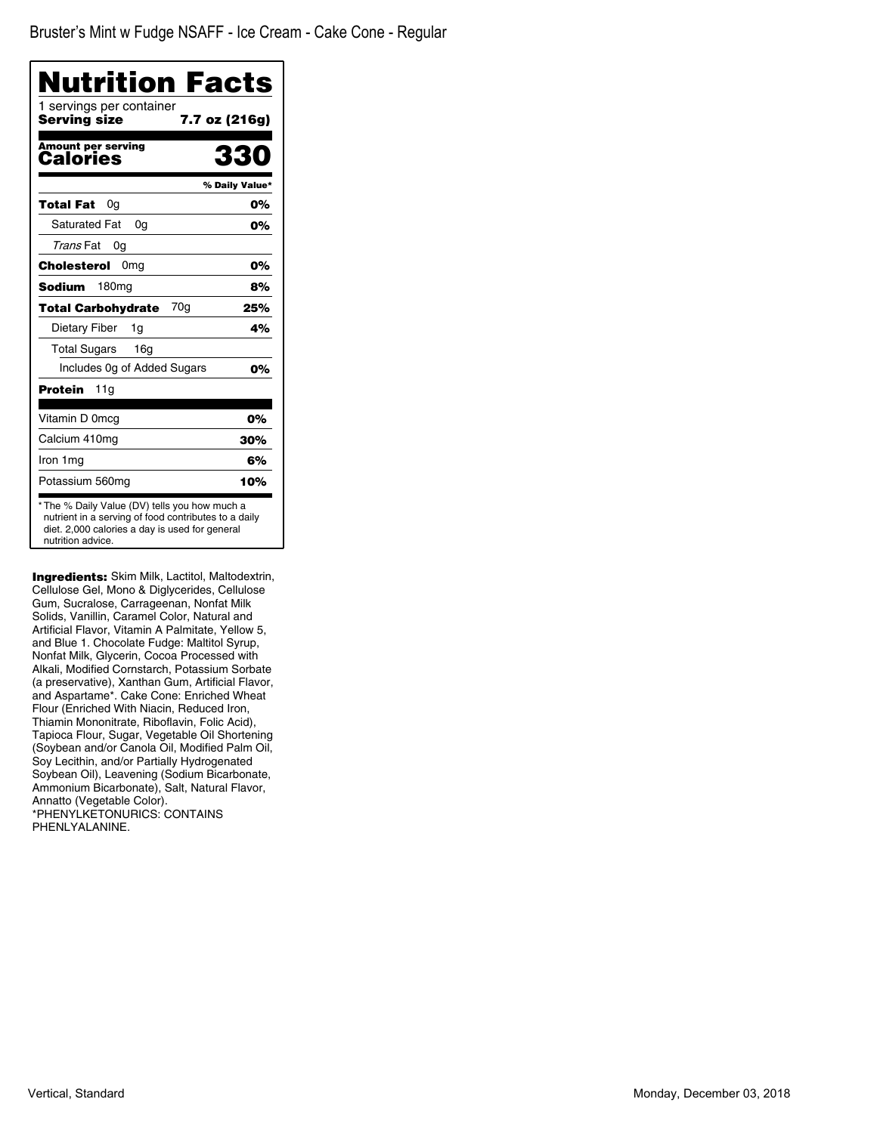| Nutrition Facts                          |                |
|------------------------------------------|----------------|
| 1 servings per container<br>Serving size | 7.7 oz (216g)  |
| <b>Amount per serving</b><br>Calories    | 330            |
|                                          | % Daily Value* |
| Total Fat<br>0g                          | 0%             |
| <b>Saturated Fat</b><br>0a               | 0%             |
| Trans Fat<br>0a                          |                |
| 0 <sub>mg</sub><br>Cholesterol           | 0%             |
| 180 <sub>mg</sub><br>Sodium              | 8%             |
| 70g<br><b>Total Carbohydrate</b>         | 25%            |
| Dietary Fiber<br>1g                      | 4%             |
| <b>Total Sugars</b><br>16g               |                |
| Includes 0g of Added Sugars              | 0%             |
| Protein<br>11g                           |                |
| Vitamin D 0mcg                           | 0%             |
| Calcium 410mg                            | 30%            |
| Iron 1mg                                 | 6%             |
| Potassium 560mg                          | 10%            |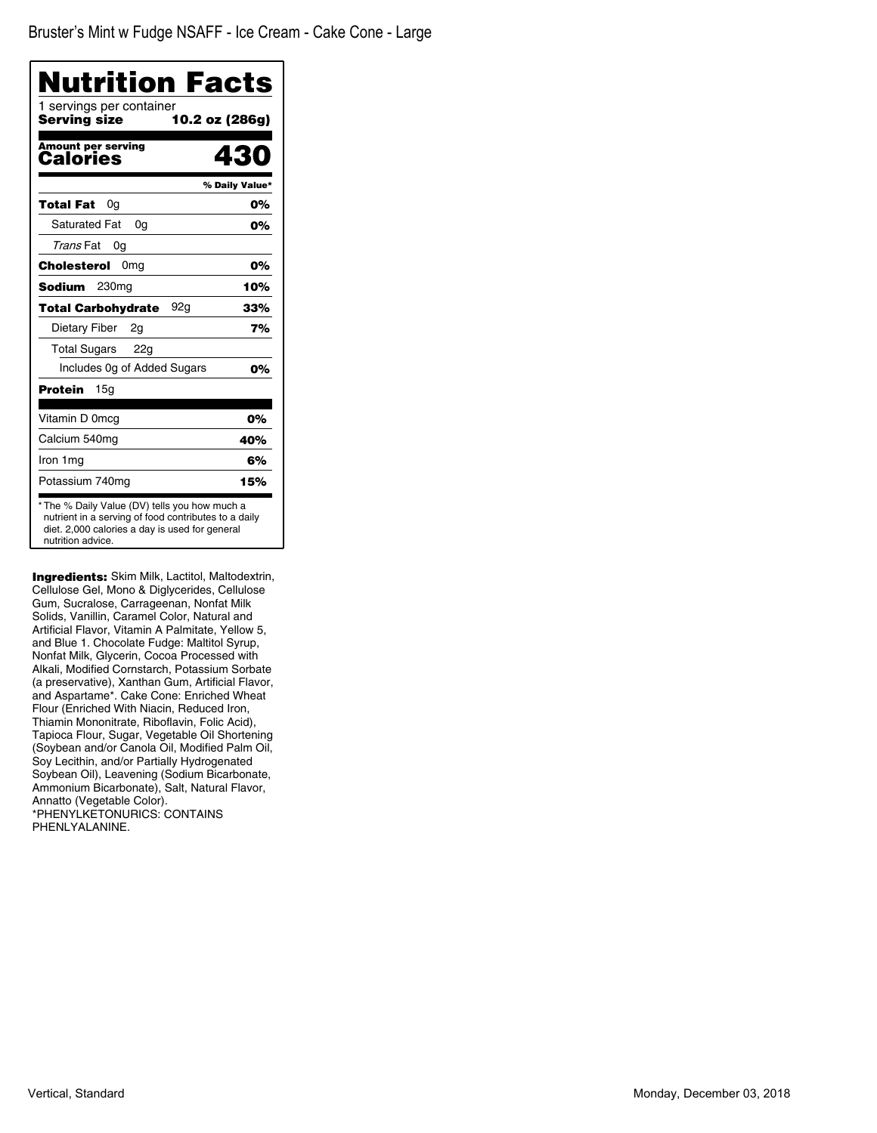| Nutrition Facts                          |                |
|------------------------------------------|----------------|
| 1 servings per container<br>Servina size | 10.2 oz (286g) |
| <b>Amount per serving</b><br>Calories    | 430            |
|                                          | % Daily Value* |
| Total Fat<br>0g                          | 0%             |
| <b>Saturated Fat</b><br>0a               | 0%             |
| Trans Fat<br>0g                          |                |
| Cholesterol<br>0 <sub>mg</sub>           | 0%             |
| <b>Sodium</b><br>230mg                   | 10%            |
| <b>Total Carbohydrate</b><br>92a         | 33%            |
| Dietary Fiber<br>2q                      | 7%             |
| <b>Total Sugars</b><br>22g               |                |
| Includes 0g of Added Sugars              | 0%             |
| Protein<br>15g                           |                |
| Vitamin D 0mcg                           | 0%             |
| Calcium 540mg                            | 40%            |
| Iron 1mg                                 | 6%             |
| Potassium 740mg                          | 15%            |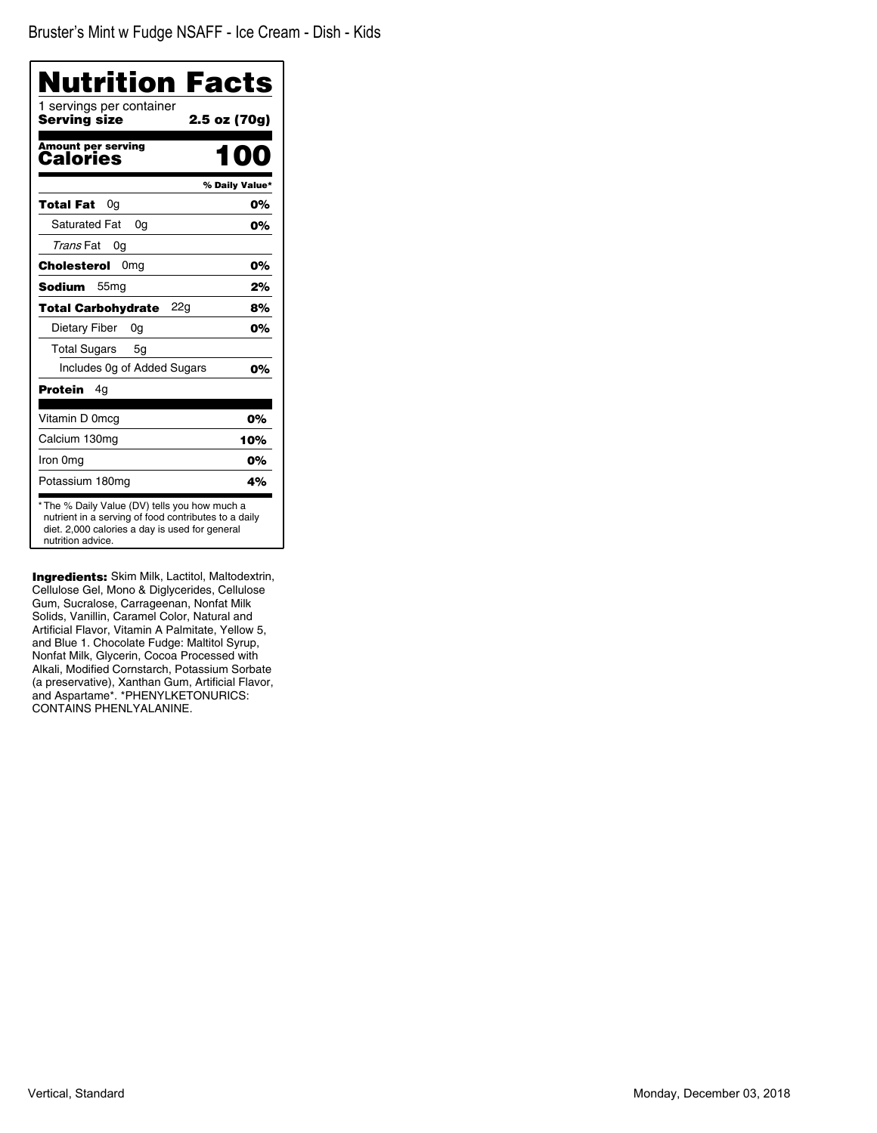| Nutrition Facts                                                                                                                                                              |                |
|------------------------------------------------------------------------------------------------------------------------------------------------------------------------------|----------------|
| 1 servings per container<br>Serving size                                                                                                                                     | 2.5 oz (70g)   |
| <b>Amount per serving</b><br>Calories                                                                                                                                        | mo             |
|                                                                                                                                                                              | % Daily Value* |
| Total Fat<br>0a                                                                                                                                                              | 0%             |
| <b>Saturated Fat</b><br>0a                                                                                                                                                   | 0%             |
| Trans Fat<br>0g                                                                                                                                                              |                |
| 0 <sub>mg</sub><br>Cholesterol                                                                                                                                               | 0%             |
| 55 <sub>mg</sub><br>Sodium                                                                                                                                                   | 2%             |
| <b>Total Carbohydrate</b><br>22a                                                                                                                                             | 8%             |
| Dietary Fiber<br>0g                                                                                                                                                          | 0%             |
| <b>Total Sugars</b><br>5g                                                                                                                                                    |                |
| Includes Og of Added Sugars                                                                                                                                                  | 0%             |
| Protein<br>4g                                                                                                                                                                |                |
| Vitamin D 0mcg                                                                                                                                                               | 0%             |
| Calcium 130mg                                                                                                                                                                | 10%            |
| Iron 0mg                                                                                                                                                                     | 0%             |
| Potassium 180mg                                                                                                                                                              | 4%             |
| * The % Daily Value (DV) tells you how much a<br>nutrient in a serving of food contributes to a daily<br>diet. 2,000 calories a day is used for general<br>nutrition advice. |                |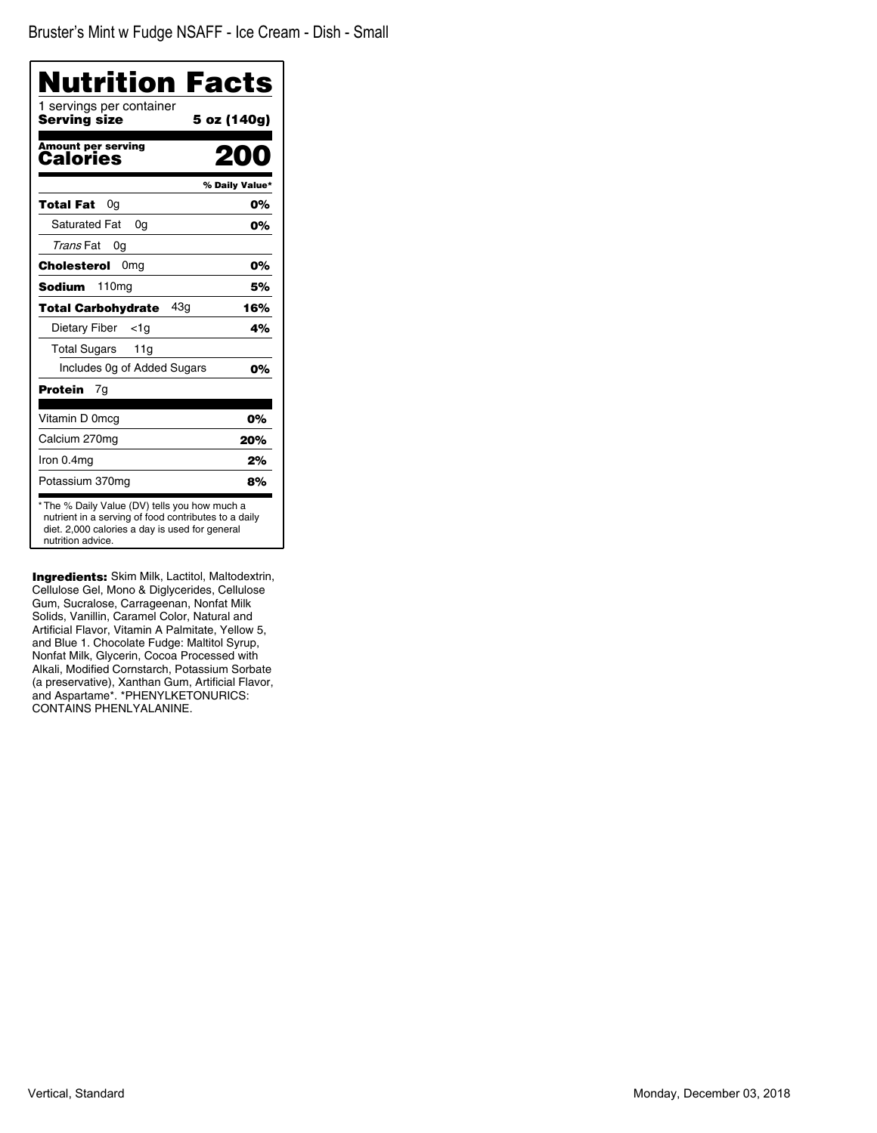| Nutrition Facts                                                                                                                                                              |                |
|------------------------------------------------------------------------------------------------------------------------------------------------------------------------------|----------------|
| 1 servings per container<br>Serving size                                                                                                                                     | 5 oz (140g)    |
| <b>Amount per serving</b><br>Calories                                                                                                                                        | 200            |
|                                                                                                                                                                              | % Daily Value* |
| Total Fat<br>0g                                                                                                                                                              | 0%             |
| <b>Saturated Fat</b><br>0a                                                                                                                                                   | 0%             |
| Trans Fat<br>0g                                                                                                                                                              |                |
| 0 <sub>mg</sub><br>Cholesterol                                                                                                                                               | 0%             |
| 110mg<br>Sodium                                                                                                                                                              | 5%             |
| 43q<br><b>Total Carbohydrate</b>                                                                                                                                             | 16%            |
| Dietary Fiber<br><1a                                                                                                                                                         | 4%             |
| <b>Total Sugars</b><br>11g                                                                                                                                                   |                |
| Includes Og of Added Sugars                                                                                                                                                  | 0%             |
| Protein<br>7g                                                                                                                                                                |                |
| Vitamin D 0mcg                                                                                                                                                               | 0%             |
| Calcium 270mg                                                                                                                                                                | 20%            |
| Iron 0.4mg                                                                                                                                                                   | 2%             |
| Potassium 370mg                                                                                                                                                              | 8%             |
| * The % Daily Value (DV) tells you how much a<br>nutrient in a serving of food contributes to a daily<br>diet. 2,000 calories a day is used for general<br>nutrition advice. |                |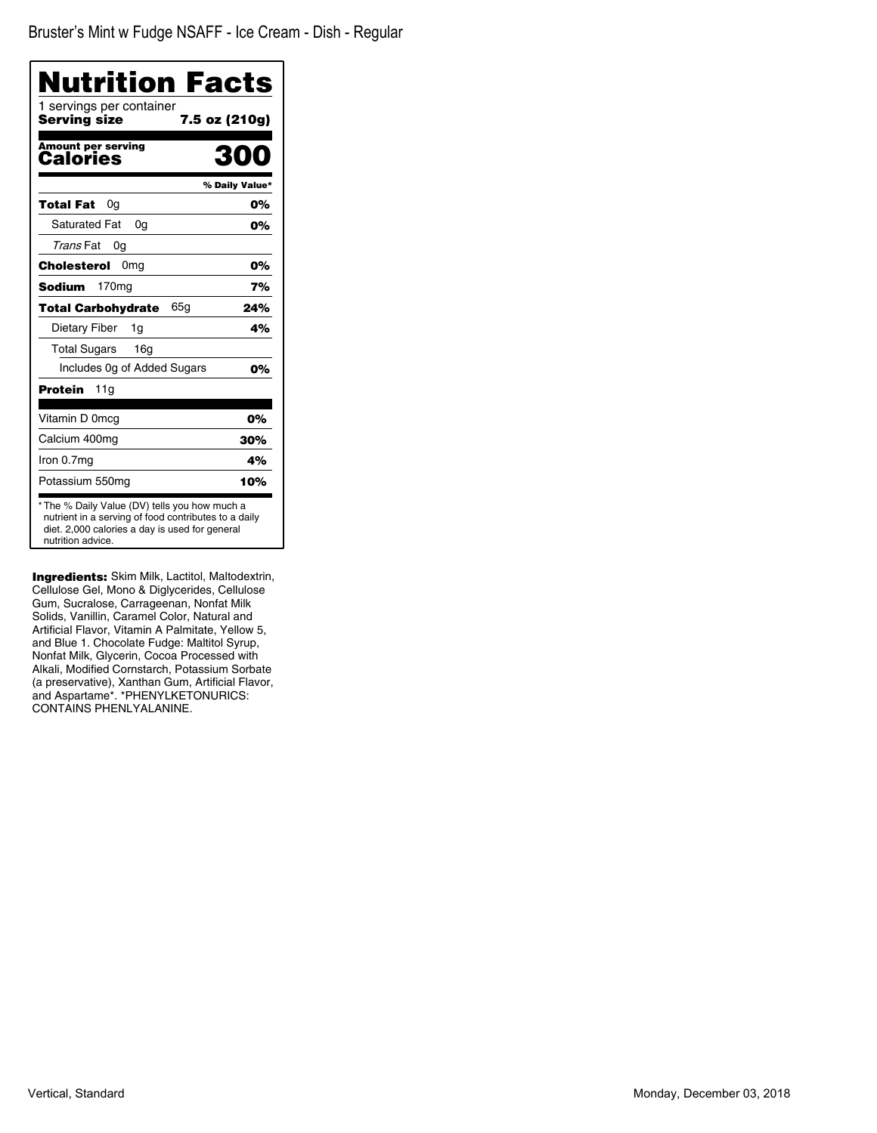Bruster's Mint w Fudge NSAFF - Ice Cream - Dish - Regular

| Nutrition Facts                                                                                                                                                              |                |
|------------------------------------------------------------------------------------------------------------------------------------------------------------------------------|----------------|
| 1 servings per container<br>Serving size<br>7.5 oz (210g)                                                                                                                    |                |
| <b>Amount per serving</b><br>Calories                                                                                                                                        | 300            |
|                                                                                                                                                                              | % Daily Value* |
| Total Fat<br>0g                                                                                                                                                              | 0%             |
| <b>Saturated Fat</b><br>0q                                                                                                                                                   | 0%             |
| Trans Fat<br>0g                                                                                                                                                              |                |
| Cholesterol<br>0 <sub>mq</sub>                                                                                                                                               | 0%             |
| 170 <sub>mg</sub><br><b>Sodium</b>                                                                                                                                           | 7%             |
| 65g<br>Total Carbohydrate                                                                                                                                                    | 24%            |
| Dietary Fiber<br>1g                                                                                                                                                          | 4%             |
| <b>Total Sugars</b><br>16 <sub>g</sub>                                                                                                                                       |                |
| Includes 0g of Added Sugars                                                                                                                                                  | 0%             |
| Protein<br>11g                                                                                                                                                               |                |
| Vitamin D 0mcg                                                                                                                                                               | 0%             |
| Calcium 400mg                                                                                                                                                                | 30%            |
| Iron 0.7mg                                                                                                                                                                   | 4%             |
| Potassium 550mg                                                                                                                                                              | 10%            |
| * The % Daily Value (DV) tells you how much a<br>nutrient in a serving of food contributes to a daily<br>diet. 2,000 calories a day is used for general<br>nutrition advice. |                |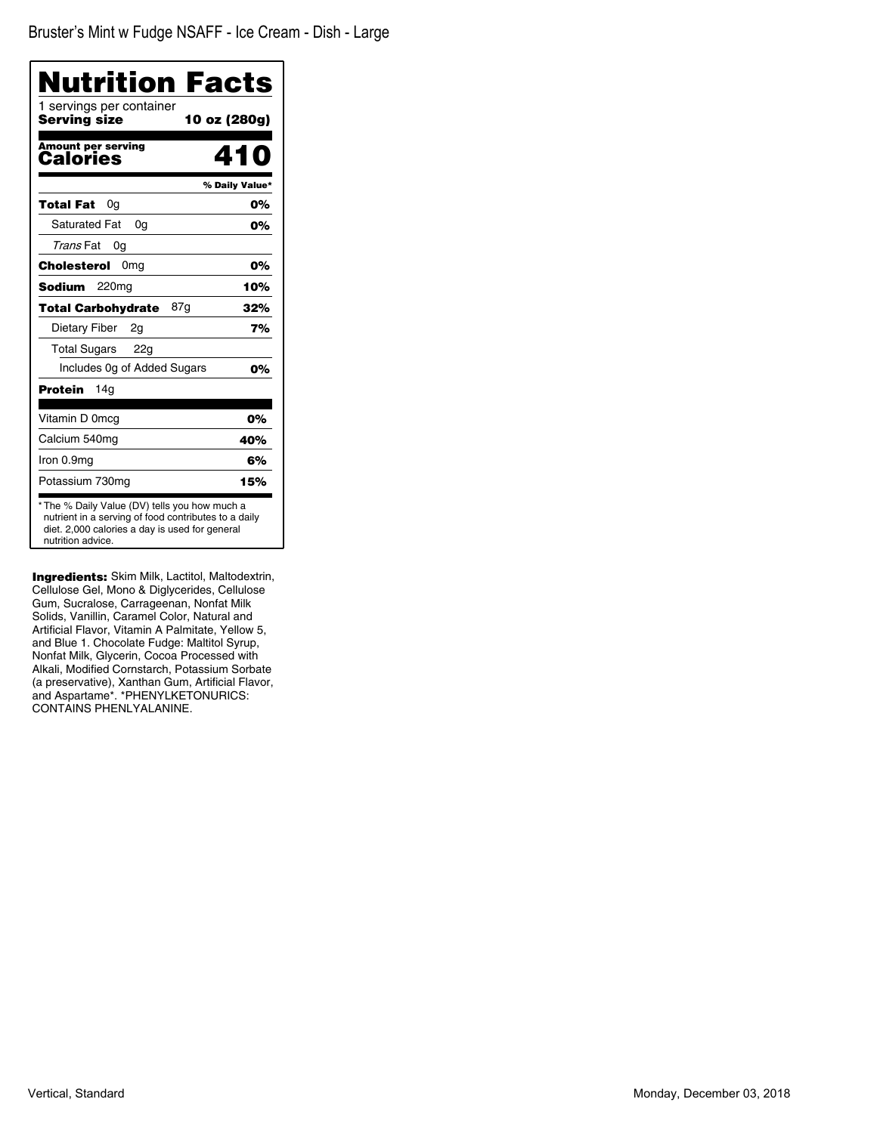| <b>Nutrition Facts</b>                                                                                                                                                       |                |
|------------------------------------------------------------------------------------------------------------------------------------------------------------------------------|----------------|
| 1 servings per container<br>Serving size<br>10 oz (280g)                                                                                                                     |                |
| <b>Amount per serving</b><br>Calories                                                                                                                                        | 410            |
|                                                                                                                                                                              | % Daily Value* |
| Total Fat<br>0a                                                                                                                                                              | 0%             |
| <b>Saturated Fat</b><br>0a                                                                                                                                                   | 0%             |
| Trans Fat<br>0g                                                                                                                                                              |                |
| Cholesterol<br>0 <sub>mg</sub>                                                                                                                                               | 0%             |
| Sodium<br>220 <sub>mg</sub>                                                                                                                                                  | 10%            |
| <b>Total Carbohydrate</b><br>87g                                                                                                                                             | 32%            |
| Dietary Fiber<br>2g                                                                                                                                                          | 7%             |
| <b>Total Sugars</b><br>22g                                                                                                                                                   |                |
| Includes Og of Added Sugars                                                                                                                                                  | 0%             |
| 14a<br>Protein                                                                                                                                                               |                |
| Vitamin D 0mcq                                                                                                                                                               | 0%             |
| Calcium 540mg                                                                                                                                                                | 40%            |
| Iron 0.9mg                                                                                                                                                                   | 6%             |
| Potassium 730mg                                                                                                                                                              | 15%            |
| * The % Daily Value (DV) tells you how much a<br>nutrient in a serving of food contributes to a daily<br>diet. 2,000 calories a day is used for general<br>nutrition advice. |                |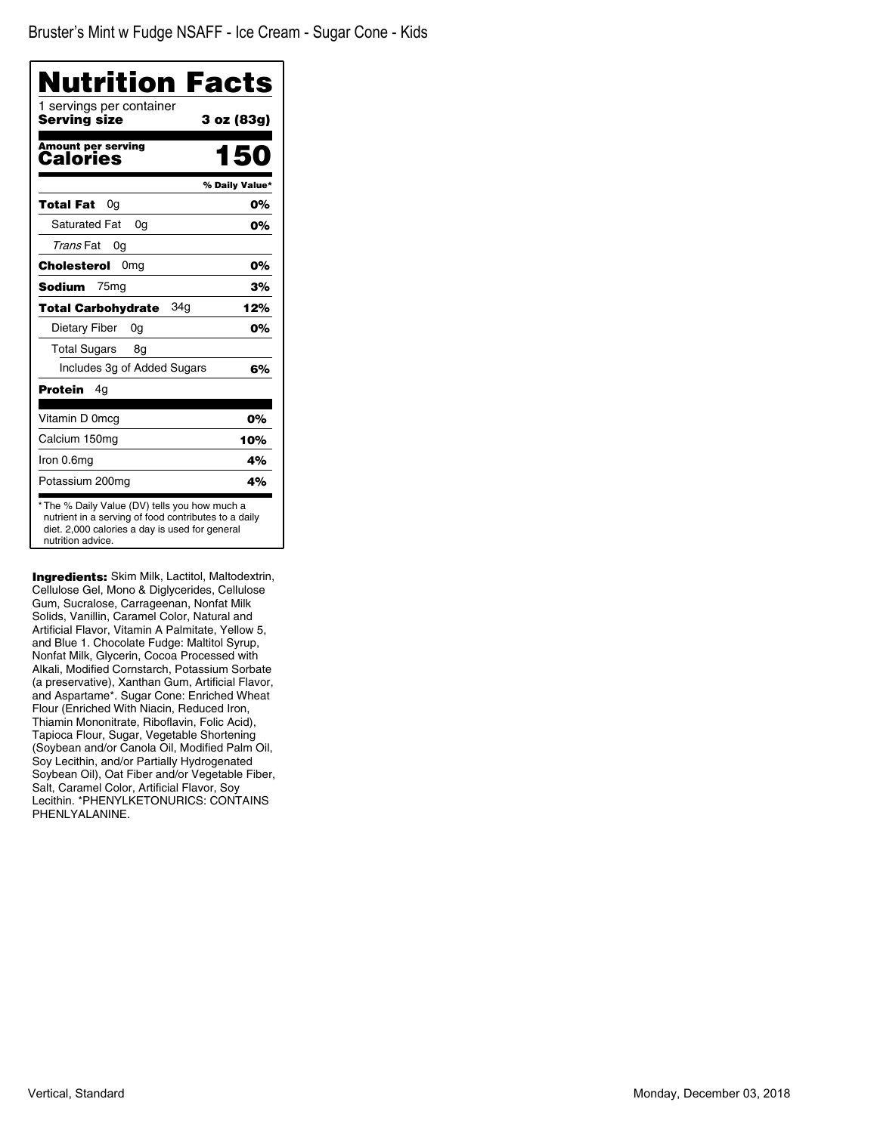| Nutrition Facts                          |                |
|------------------------------------------|----------------|
| 1 servings per container<br>Serving size | 3 oz (83g)     |
| <b>Amount per serving</b><br>Calories    | 150            |
|                                          | % Daily Value* |
| Total Fat<br>0g                          | 0%             |
| <b>Saturated Fat</b><br>0a               | 0%             |
| Trans Fat<br>0g                          |                |
| Cholesterol<br>0 <sub>mq</sub>           | 0%             |
| Sodium<br>75 <sub>mg</sub>               | 3%             |
| 34g<br><b>Total Carbohydrate</b>         | 12%            |
| Dietary Fiber<br>0a                      | 0%             |
| <b>Total Sugars</b><br>8g                |                |
| Includes 3g of Added Sugars              | 6%             |
| Protein<br>4g                            |                |
| Vitamin D 0mcg                           | 0%             |
| Calcium 150mg                            | 10%            |
| Iron 0.6mg                               | 4%             |
| Potassium 200mg                          | 4%             |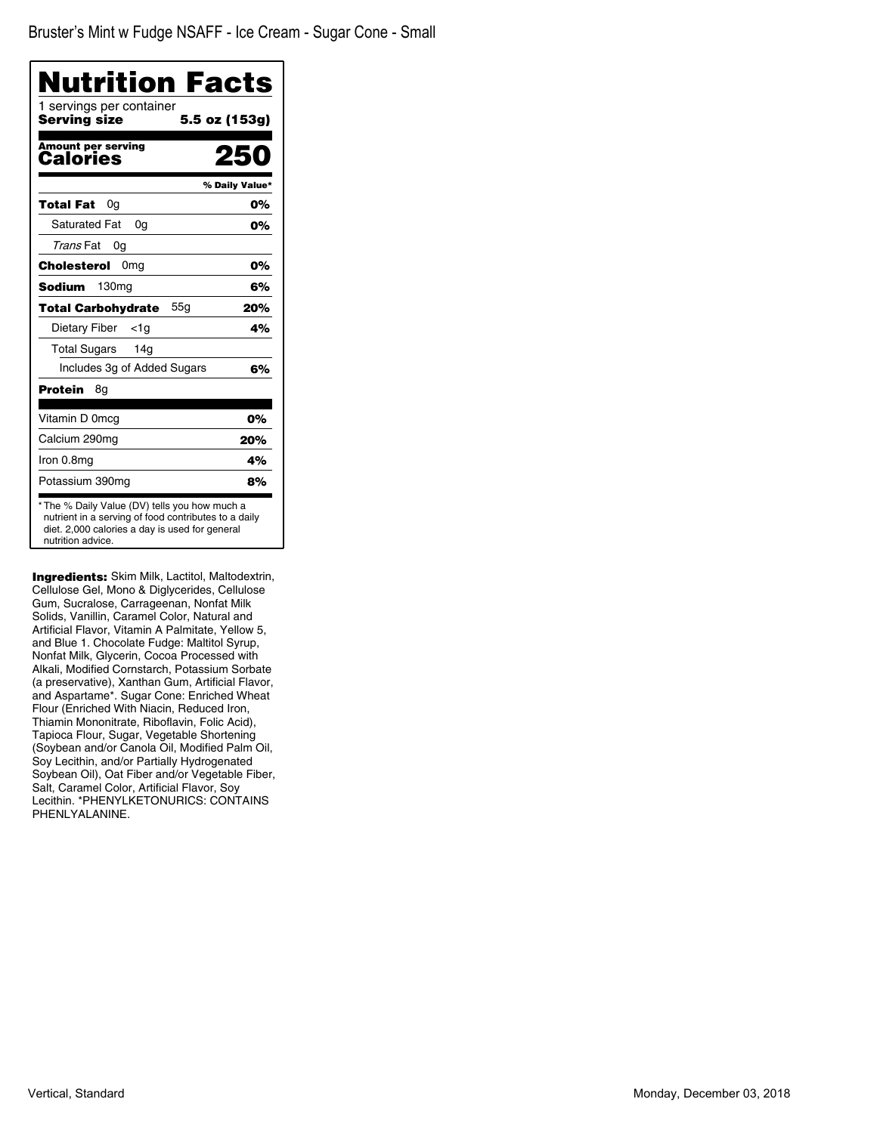| <b>Nutrition Facts</b>                   |                |
|------------------------------------------|----------------|
| 1 servings per container<br>Serving size | 5.5 oz (153g)  |
| <b>Amount per serving</b><br>Calories    |                |
|                                          | % Daily Value* |
| Total Fat<br>0g                          | 0%             |
| <b>Saturated Fat</b><br>0a               | 0%             |
| Trans Fat<br>0g                          |                |
| Cholesterol<br>0 <sub>mg</sub>           | 0%             |
| Sodium<br>130 <sub>mq</sub>              | 6%             |
| <b>Total Carbohydrate</b><br>55a         | 20%            |
| Dietary Fiber<br><1a                     | 4%             |
| <b>Total Sugars</b><br>14g               |                |
| Includes 3g of Added Sugars              | 6%             |
| Protein<br>8g                            |                |
| Vitamin D 0mcg                           | 0%             |
| Calcium 290mg                            | 20%            |
| Iron 0.8mg                               | 4%             |
| Potassium 390mg                          | 8%             |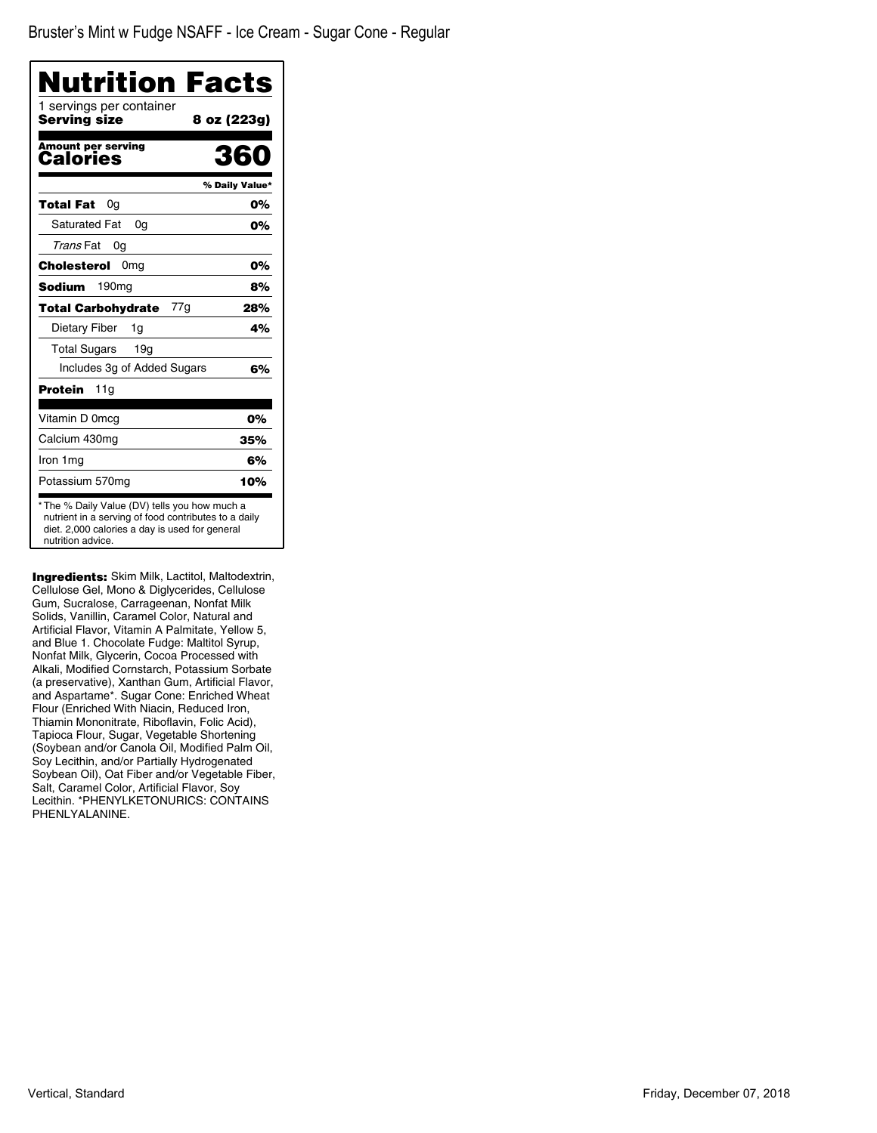| Nutrition Facts                          |                |
|------------------------------------------|----------------|
| 1 servings per container<br>Serving size | 8 oz (223g)    |
| <b>Amount per serving</b><br>Calories    | 360            |
|                                          | % Daily Value* |
| Total Fat<br>0g                          | 0%             |
| <b>Saturated Fat</b><br>0q               | 0%             |
| Trans Fat<br>0g                          |                |
| Cholesterol<br>0 <sub>mg</sub>           | 0%             |
| <b>Sodium</b><br>190 <sub>mg</sub>       | 8%             |
| 77g<br><b>Total Carbohydrate</b>         | 28%            |
| Dietary Fiber<br>1g                      | 4%             |
| <b>Total Sugars</b><br>19 <sub>q</sub>   |                |
| Includes 3g of Added Sugars              | 6%             |
| <b>Protein</b><br>11g                    |                |
| Vitamin D 0mcg                           | 0%             |
| Calcium 430mg                            | 35%            |
| Iron 1mg                                 | 6%             |
| Potassium 570mg                          | 10%            |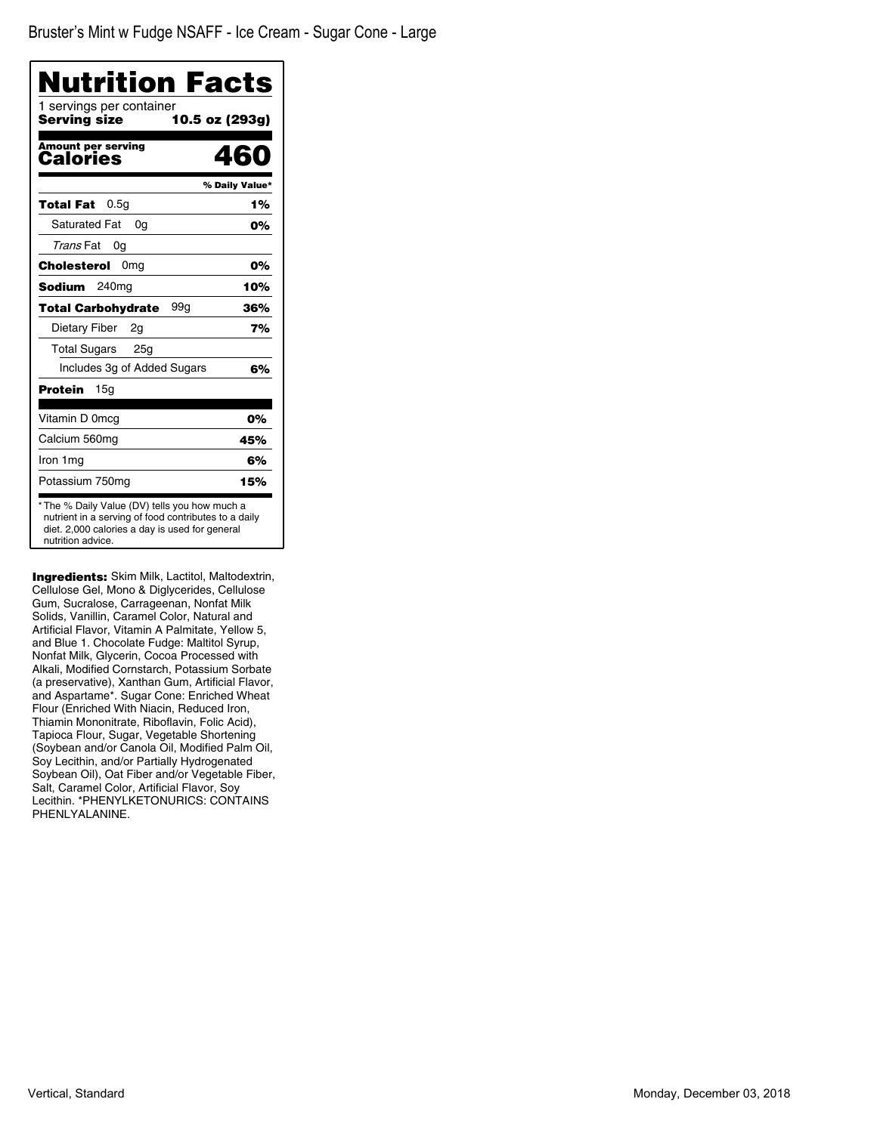| Nutrition Facts                          |                |
|------------------------------------------|----------------|
| 1 servings per container<br>Serving size | 10.5 oz (293g) |
| <b>Amount per serving</b><br>Calories    | 460            |
|                                          | % Daily Value* |
| 0.5q<br>Total Fat                        | 1%             |
| <b>Saturated Fat</b><br>0a               | 0%             |
| Trans Fat<br>0g                          |                |
| Cholesterol<br>0 <sub>mg</sub>           | 0%             |
| <b>Sodium</b><br>240 <sub>mg</sub>       | 10%            |
| 99g<br><b>Total Carbohydrate</b>         | 36%            |
| Dietary Fiber<br>2g                      | 7%             |
| <b>Total Sugars</b><br>25g               |                |
| Includes 3g of Added Sugars              | 6%             |
| Protein<br>15g                           |                |
| Vitamin D 0mcg                           | 0%             |
| Calcium 560mg                            | 45%            |
| Iron 1mg                                 | 6%             |
| Potassium 750mg                          | 15%            |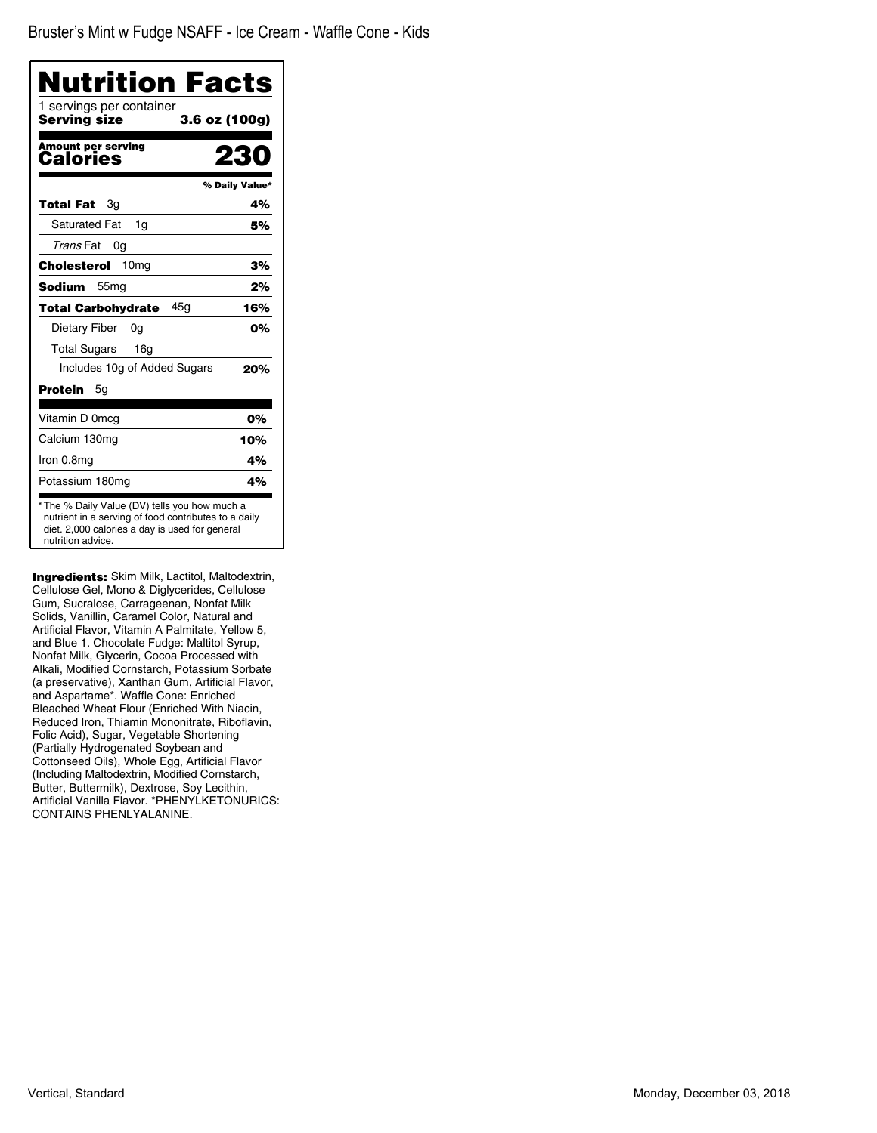| <b>Nutrition Facts</b>                                                                                                                                                       |                |
|------------------------------------------------------------------------------------------------------------------------------------------------------------------------------|----------------|
| 1 servings per container<br>3.6 oz (100g)<br>Serving size                                                                                                                    |                |
| <b>Amount per serving</b><br>Calories                                                                                                                                        |                |
|                                                                                                                                                                              | % Daily Value* |
| Total Fat<br>Зg                                                                                                                                                              | 4%             |
| <b>Saturated Fat</b><br>1q                                                                                                                                                   | 5%             |
| Trans Fat<br>0a                                                                                                                                                              |                |
| 10 <sub>mg</sub><br>Cholesterol                                                                                                                                              | 3%             |
| <b>Sodium</b><br>55 <sub>mg</sub>                                                                                                                                            | 2%             |
| 45a<br><b>Total Carbohydrate</b>                                                                                                                                             | 16%            |
| Dietary Fiber<br>0g                                                                                                                                                          | 0%             |
| <b>Total Sugars</b><br>16g                                                                                                                                                   |                |
| Includes 10g of Added Sugars                                                                                                                                                 | 20%            |
| Protein<br>5g                                                                                                                                                                |                |
| Vitamin D 0mcg                                                                                                                                                               | 0%             |
| Calcium 130mg                                                                                                                                                                | 10%            |
| Iron 0.8mg                                                                                                                                                                   | 4%             |
| Potassium 180mg                                                                                                                                                              | 4%             |
| * The % Daily Value (DV) tells you how much a<br>nutrient in a serving of food contributes to a daily<br>diet. 2,000 calories a day is used for general<br>nutrition advice. |                |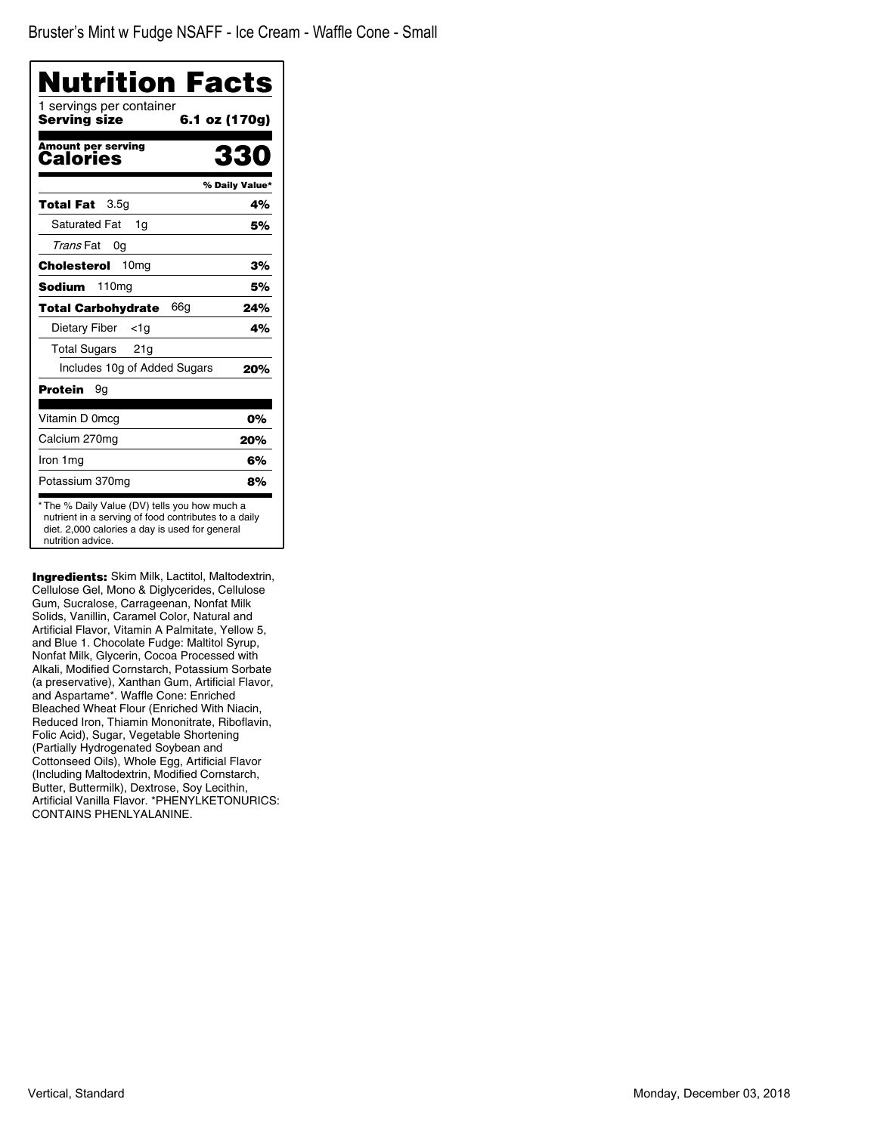| Nutrition Facts                          |                |
|------------------------------------------|----------------|
| 1 servings per container<br>Serving size | 6.1 oz (170g)  |
| <b>Amount per serving</b><br>Calories    | ८८०            |
|                                          | % Daily Value* |
| 3.5 <sub>q</sub><br>Total Fat            | 4%             |
| <b>Saturated Fat</b><br>1q               | 5%             |
| Trans Fat<br>0g                          |                |
| 10 <sub>mg</sub><br>Cholesterol          | 3%             |
| <b>Sodium</b><br>110 <sub>mg</sub>       | 5%             |
| 66a<br><b>Total Carbohydrate</b>         | 24%            |
| Dietary Fiber<br>$<$ 1g                  | 4%             |
| Total Sugars<br>21g                      |                |
| Includes 10g of Added Sugars             | 20%            |
| Protein<br>9g                            |                |
| Vitamin D 0mcg                           | 0%             |
| Calcium 270mg                            | 20%            |
| Iron 1 mg                                | 6%             |
| Potassium 370mg                          | 8%             |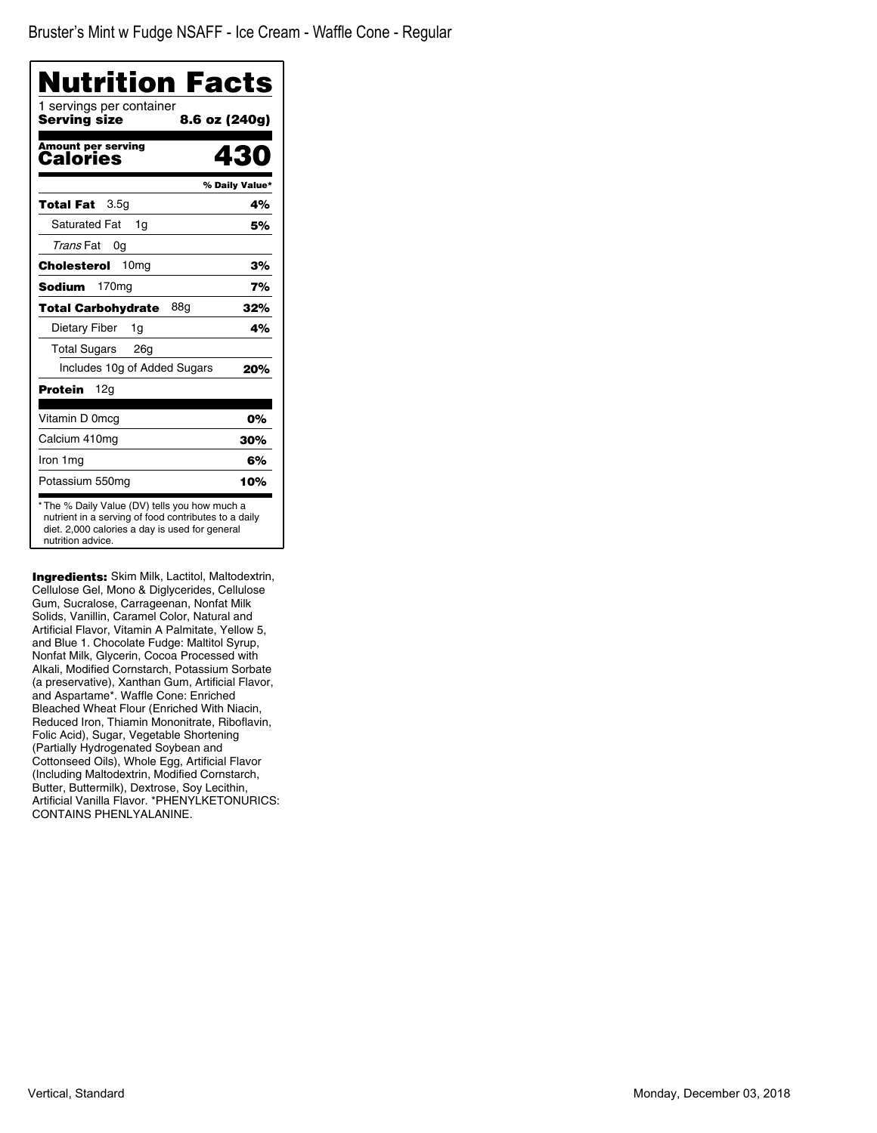| Nutrition Facts                          |                |
|------------------------------------------|----------------|
| 1 servings per container<br>Servina size | 8.6 oz (240g)  |
| <b>Amount per serving</b><br>Calories    | 430            |
|                                          | % Daily Value* |
| 3.5 <sub>q</sub><br>Total Fat            | 4%             |
| <b>Saturated Fat</b><br>1g               | 5%             |
| Trans Fat<br>0g                          |                |
| 10 <sub>mg</sub><br>Cholesterol          | 3%             |
| <b>Sodium</b><br>170 <sub>mg</sub>       | 7%             |
| 88g<br><b>Total Carbohydrate</b>         | 32%            |
| Dietary Fiber<br>1g                      | 4%             |
| <b>Total Sugars</b><br>26a               |                |
| Includes 10g of Added Sugars             | 20%            |
| 12g<br>Protein                           |                |
| Vitamin D 0mcg                           | 0%             |
| Calcium 410mg                            | 30%            |
| Iron 1mg                                 | 6%             |
| Potassium 550mg                          | 10%            |